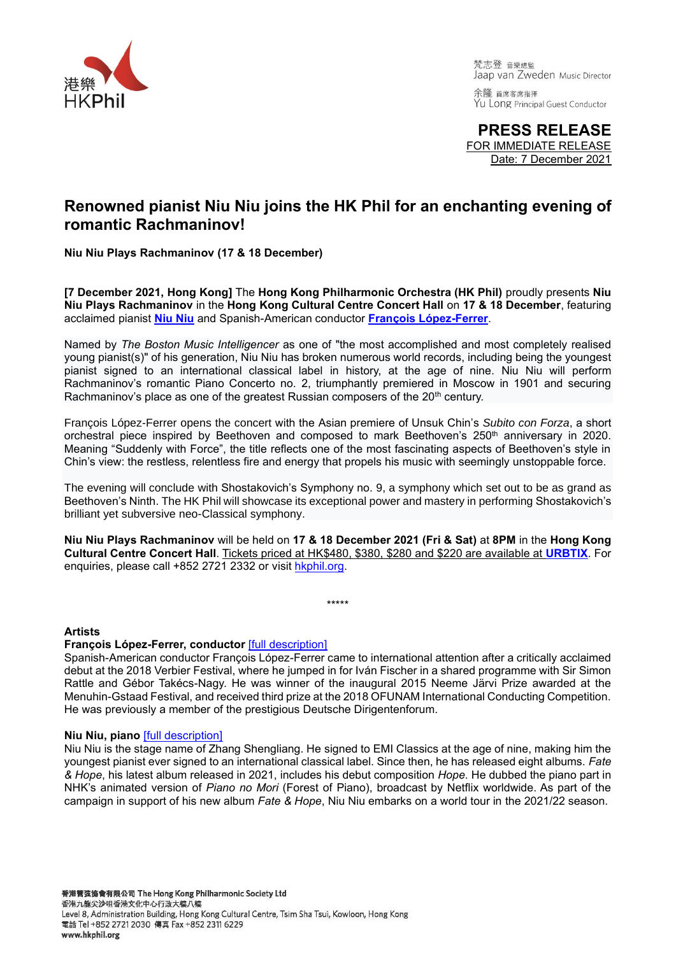

梵志登 音樂總監 Jaap van Zweden Music Director

余隆 首席客席指揮 Yu Long Principal Guest Conductor

**PRESS RELEASE** FOR IMMEDIATE RELEASE Date: 7 December 2021

## **Renowned pianist Niu Niu joins the HK Phil for an enchanting evening of romantic Rachmaninov!**

**Niu Niu Plays Rachmaninov (17 & 18 December)**

**[7 December 2021, Hong Kong]** The **Hong Kong Philharmonic Orchestra (HK Phil)** proudly presents **Niu Niu Plays Rachmaninov** in the **Hong Kong Cultural Centre Concert Hall** on **17 & 18 December**, featuring acclaimed pianist **[Niu Niu](https://www.hkphil.org/artist/niu-niu)** and Spanish-American conductor **[François López-Ferrer](https://www.hkphil.org/artist/francois-lopez-ferrer)**.

Named by *The Boston Music Intelligencer* as one of "the most accomplished and most completely realised young pianist(s)" of his generation, Niu Niu has broken numerous world records, including being the youngest pianist signed to an international classical label in history, at the age of nine. Niu Niu will perform Rachmaninov's romantic Piano Concerto no. 2, triumphantly premiered in Moscow in 1901 and securing Rachmaninov's place as one of the greatest Russian composers of the 20<sup>th</sup> century.

François López-Ferrer opens the concert with the Asian premiere of Unsuk Chin's *Subito con Forza*, a short orchestral piece inspired by Beethoven and composed to mark Beethoven's 250th anniversary in 2020. Meaning "Suddenly with Force", the title reflects one of the most fascinating aspects of Beethoven's style in Chin's view: the restless, relentless fire and energy that propels his music with seemingly unstoppable force.

The evening will conclude with Shostakovich's Symphony no. 9, a symphony which set out to be as grand as Beethoven's Ninth. The HK Phil will showcase its exceptional power and mastery in performing Shostakovich's brilliant yet subversive neo-Classical symphony.

**Niu Niu Plays Rachmaninov** will be held on **17 & 18 December 2021 (Fri & Sat)** at **8PM** in the **Hong Kong Cultural Centre Concert Hall**. Tickets priced at HK\$480, \$380, \$280 and \$220 are available at **[URBTIX](http://www.urbtix.hk/internet/eventDetail/42713)**. For enquiries, please call +852 2721 2332 or visit [hkphil.org.](https://www.hkphil.org/concert/niu-niu-plays-rachmaninov)

\*\*\*\*\*

### **Artists**

### **François López-Ferrer, conductor** [\[full description\]](https://www.hkphil.org/artist/francois-lopez-ferrer)

Spanish-American conductor François López-Ferrer came to international attention after a critically acclaimed debut at the 2018 Verbier Festival, where he jumped in for Iván Fischer in a shared programme with Sir Simon Rattle and Gébor Takécs-Nagy. He was winner of the inaugural 2015 Neeme Järvi Prize awarded at the Menuhin-Gstaad Festival, and received third prize at the 2018 OFUNAM International Conducting Competition. He was previously a member of the prestigious Deutsche Dirigentenforum.

### **Niu Niu, piano** [\[full description\]](https://www.hkphil.org/artist/niu-niu)

Niu Niu is the stage name of Zhang Shengliang. He signed to EMI Classics at the age of nine, making him the youngest pianist ever signed to an international classical label. Since then, he has released eight albums. *Fate & Hope*, his latest album released in 2021, includes his debut composition *Hope*. He dubbed the piano part in NHK's animated version of *Piano no Mori* (Forest of Piano), broadcast by Netflix worldwide. As part of the campaign in support of his new album *Fate & Hope*, Niu Niu embarks on a world tour in the 2021/22 season.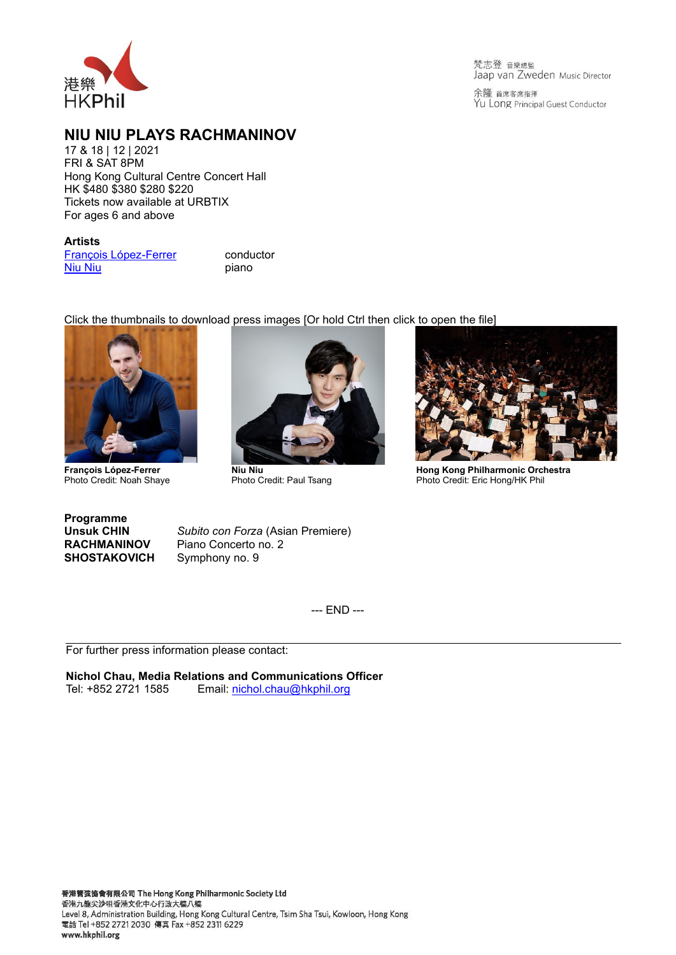

梵志登 音樂總監 Jaap van Zweden Music Director

余隆 首席客席指揮 Yu Long Principal Guest Conductor

## **NIU NIU PLAYS RACHMANINOV**

17 & 18 | 12 | 2021 FRI & SAT 8PM Hong Kong Cultural Centre Concert Hall HK \$480 \$380 \$280 \$220 Tickets now available at URBTIX For ages 6 and above

#### **Artists**

[François López-Ferrer](https://www.hkphil.org/artist/francois-lopez-ferrer) conductor<br>
Niu Niu [Niu Niu](https://www.hkphil.org/artist/niu-niu)

# [Click the thumbnails to dow](https://download.hkphil.org/files/press/2021/2021121011_Xuefei%20Yang/Francois%20Lopez-Ferrer.jpeg)nload [press images \[Or hold Ctrl then](https://download.hkphil.org/files/press/2021/2021121718_Niu%20Niu/Niu%20Niu%20(c)%20Paul%20Tsang.jpg) click [to open the file\]](https://download.hkphil.org/files/press/2122/2021091718_MozartMeetsJohnWilliams/Hong%20Kong%20Philharmonic%20Orchestra_2%20(c)%20Eric%20Hong_HK%20Phil.jpg)



**François López-Ferrer** Photo Credit: Noah Shaye



Photo Credit: Paul Tsang



**Hong Kong Philharmonic Orchestra** Photo Credit: Eric Hong/HK Phil

**Programme SHOSTAKOVICH** Symphony no. 9

**Unsuk CHIN** *Subito con Forza* (Asian Premiere) **RACHMANINOV** Piano Concerto no. 2

--- END ---

For further press information please contact:

**Nichol Chau, Media Relations and Communications Officer**<br>Tel: +852 2721 1585 Email: nichol.chau@hkphil.org Email: [nichol.chau@hkphil.org](mailto:nichol.chau@hkphil.org)